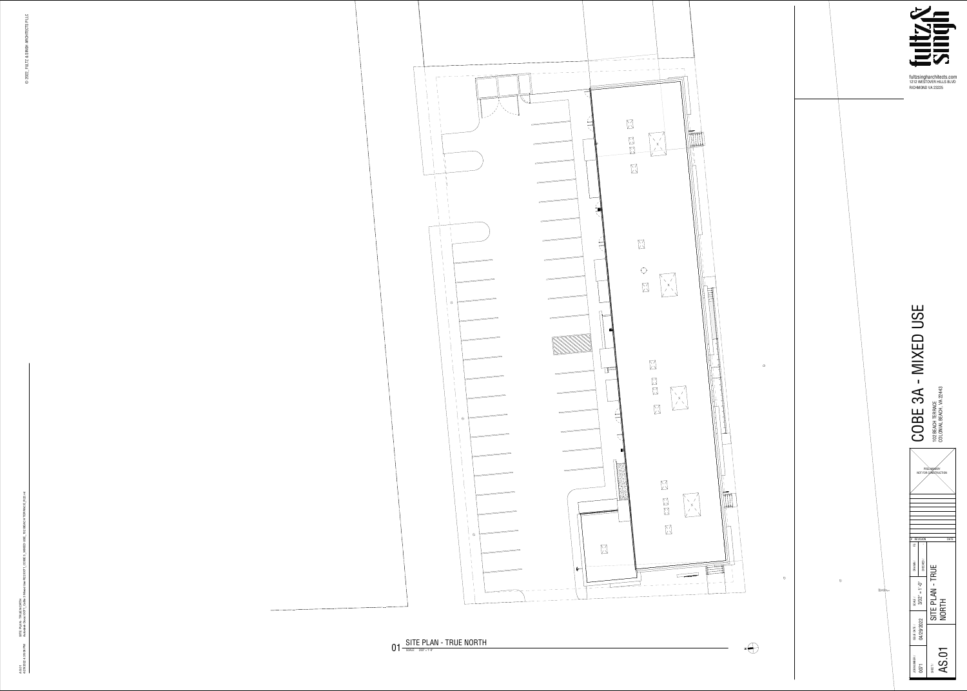**1212 WESTOVER HILLS BLVD**



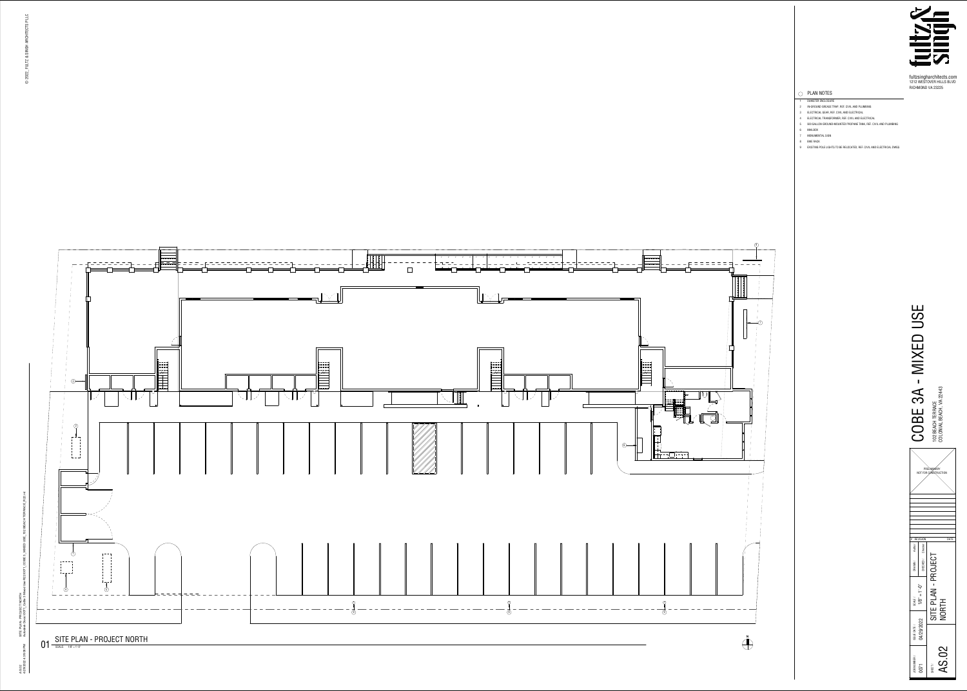

**fultzsingharchitects.com 1212 WESTOVER HILLS BLVD RICHMOND VA 23225**





**5 500 GALLON GROUND-MOUNTED PROPANE TANK, REF. CIVIL AND PLUMBING**

- **1 DUMSTER ENCLOSURE**
- **3 ELECTRICAL GEAR, REF. CIVIL AND ELECTRICAL 2 IN-GROUND GREASE TRAP, REF. CIVIL AND PLUMBING**
- **4 ELECTRICAL TRANSFORMER, REF. CIVIL AND ELECTRICAL**
- 
- **6 MAILBOX**
- **8 BIKE RACK 7 MONUMENTAL SIGN**
- **9 EXISTING POLE LIGHTS TO BE RELOCATED, REF. CIVIL AND ELECTRICAL DWGS**



## **PLAN NOTES**